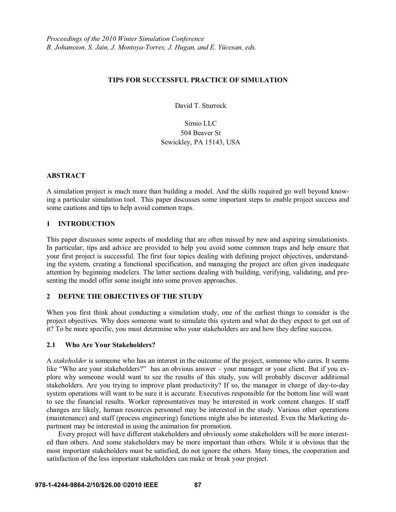# **TIPS FOR SUCCESSFUL PRACTICE OF SIMULATION**

David T. Sturrock

# Simio LLC 504 Beaver St Sewickley, PA 15143, USA

# **ABSTRACT**

A simulation project is much more than building a model. And the skills required go well beyond knowing a particular simulation tool. This paper discusses some important steps to enable project success and some cautions and tips to help avoid common traps.

# **1 INTRODUCTION**

This paper discusses some aspects of modeling that are often missed by new and aspiring simulationists. In particular, tips and advice are provided to help you avoid some common traps and help ensure that your first project is successful. The first four topics dealing with defining project objectives, understanding the system, creating a functional specification, and managing the project are often given inadequate attention by beginning modelers. The latter sections dealing with building, verifying, validating, and presenting the model offer some insight into some proven approaches.

# **2 DEFINE THE OBJECTIVES OF THE STUDY**

When you first think about conducting a simulation study, one of the earliest things to consider is the project objectives. Why does someone want to simulate this system and what do they expect to get out of it? To be more specific, you must determine who your stakeholders are and how they define success.

# **2.1 Who Are Your Stakeholders?**

A *stakeholder* is someone who has an interest in the outcome of the project, someone who cares. It seems like "Who are your stakeholders?" has an obvious answer – your manager or your client. But if you explore why someone would want to see the results of this study, you will probably discover additional stakeholders. Are you trying to improve plant productivity? If so, the manager in charge of day-to-day system operations will want to be sure it is accurate. Executives responsible for the bottom line will want to see the financial results. Worker representatives may be interested in work content changes. If staff changes are likely, human resources personnel may be interested in the study. Various other operations (maintenance) and staff (process engineering) functions might also be interested. Even the Marketing department may be interested in using the animation for promotion.

Every project will have different stakeholders and obviously some stakeholders will be more interested than others. And some stakeholders may be more important than others. While it is obvious that the most important stakeholders must be satisfied, do not ignore the others. Many times, the cooperation and satisfaction of the less important stakeholders can make or break your project.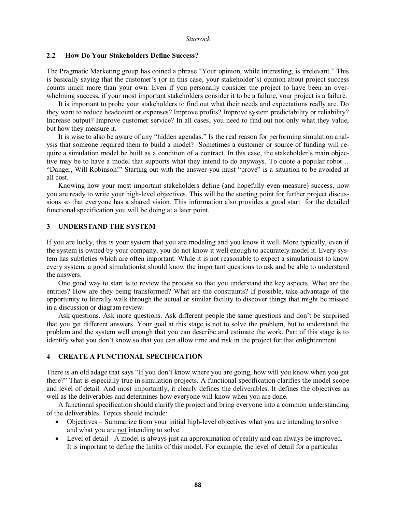#### **2.2 How Do Your Stakeholders Define Success?**

The Pragmatic Marketing group has coined a phrase "Your opinion, while interesting, is irrelevant." This is basically saying that the customer's (or in this case, your stakeholder's) opinion about project success counts much more than your own. Even if you personally consider the project to have been an overwhelming success, if your most important stakeholders consider it to be a failure, your project is a failure.

It is important to probe your stakeholders to find out what their needs and expectations really are. Do they want to reduce headcount or expenses? Improve profits? Improve system predictability or reliability? Increase output? Improve customer service? In all cases, you need to find out not only what they value, but how they measure it.

It is wise to also be aware of any "hidden agendas." Is the real reason for performing simulation analysis that someone required them to build a model? Sometimes a customer or source of funding will require a simulation model be built as a condition of a contract. In this case, the stakeholder's main objective may be to have a model that supports what they intend to do anyways. To quote a popular robot... "Danger, Will Robinson!" Starting out with the answer you must "prove" is a situation to be avoided at all cost.

Knowing how your most important stakeholders define (and hopefully even measure) success, now you are ready to write your high-level objectives. This will be the starting point for further project discussions so that everyone has a shared vision. This information also provides a good start for the detailed functional specification you will be doing at a later point.

### **3 UNDERSTAND THE SYSTEM**

If you are lucky, this is your system that you are modeling and you know it well. More typically, even if the system is owned by your company, you do not know it well enough to accurately model it. Every system has subtleties which are often important. While it is not reasonable to expect a simulationist to know every system, a good simulationist should know the important questions to ask and be able to understand the answers.

One good way to start is to review the process so that you understand the key aspects. What are the entities? How are they being transformed? What are the constraints? If possible, take advantage of the opportunity to literally walk through the actual or similar facility to discover things that might be missed in a discussion or diagram review.

Ask questions. Ask more questions. Ask different people the same questions and don't be surprised that you get different answers. Your goal at this stage is not to solve the problem, but to understand the problem and the system well enough that you can describe and estimate the work. Part of this stage is to identify what you don't know so that you can allow time and risk in the project for that enlightenment.

### **4 CREATE A FUNCTIONAL SPECIFICATION**

There is an old adage that says "If you don't know where you are going, how will you know when you get there?" That is especially true in simulation projects. A functional specification clarifies the model scope and level of detail. And most importantly, it clearly defines the deliverables. It defines the objectives as well as the deliverables and determines how everyone will know when you are done.

A functional specification should clarify the project and bring everyone into a common understanding of the deliverables. Topics should include:

- - Objectives Summarize from your initial high-level objectives what you are intending to solve and what you are not intending to solve.
- $\bullet$  Level of detail - A model is always just an approximation of reality and can always be improved. It is important to define the limits of this model. For example, the level of detail for a particular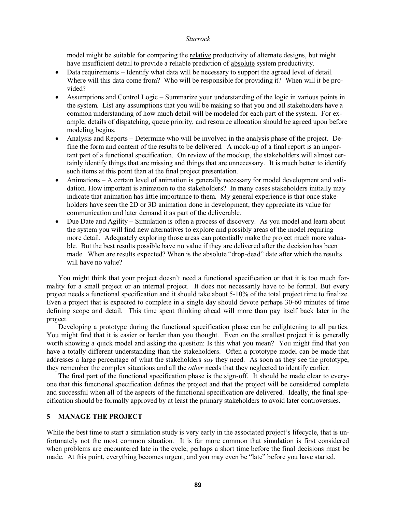model might be suitable for comparing the relative productivity of alternate designs, but might have insufficient detail to provide a reliable prediction of absolute system productivity.

- $\bullet$ Data requirements – Identify what data will be necessary to support the agreed level of detail. Where will this data come from? Who will be responsible for providing it? When will it be provided?
- $\bullet$ Assumptions and Control Logic – Summarize your understanding of the logic in various points in the system. List any assumptions that you will be making so that you and all stakeholders have a common understanding of how much detail will be modeled for each part of the system. For example, details of dispatching, queue priority, and resource allocation should be agreed upon before modeling begins.
- $\bullet$ Analysis and Reports – Determine who will be involved in the analysis phase of the project. Define the form and content of the results to be delivered. A mock-up of a final report is an important part of a functional specification. On review of the mockup, the stakeholders will almost certainly identify things that are missing and things that are unnecessary. It is much better to identify such items at this point than at the final project presentation.
- $\bullet$  Animations A certain level of animation is generally necessary for model development and validation. How important is animation to the stakeholders? In many cases stakeholders initially may indicate that animation has little importance to them. My general experience is that once stakeholders have seen the 2D or 3D animation done in development, they appreciate its value for communication and later demand it as part of the deliverable.
- $\bullet$ Due Date and Agility – Simulation is often a process of discovery. As you model and learn about the system you will find new alternatives to explore and possibly areas of the model requiring more detail. Adequately exploring those areas can potentially make the project much more valuable. But the best results possible have no value if they are delivered after the decision has been made. When are results expected? When is the absolute "drop-dead" date after which the results will have no value?

You might think that your project doesn't need a functional specification or that it is too much formality for a small project or an internal project. It does not necessarily have to be formal. But every project needs a functional specification and it should take about 5-10% of the total project time to finalize. Even a project that is expected to complete in a single day should devote perhaps 30-60 minutes of time defining scope and detail. This time spent thinking ahead will more than pay itself back later in the project.

Developing a prototype during the functional specification phase can be enlightening to all parties. You might find that it is easier or harder than you thought. Even on the smallest project it is generally worth showing a quick model and asking the question: Is this what you mean? You might find that you have a totally different understanding than the stakeholders. Often a prototype model can be made that addresses a large percentage of what the stakeholders *say* they need. As soon as they see the prototype, they remember the complex situations and all the *other* needs that they neglected to identify earlier.

The final part of the functional specification phase is the sign-off. It should be made clear to everyone that this functional specification defines the project and that the project will be considered complete and successful when all of the aspects of the functional specification are delivered. Ideally, the final specification should be formally approved by at least the primary stakeholders to avoid later controversies.

# **5 MANAGE THE PROJECT**

While the best time to start a simulation study is very early in the associated project's lifecycle, that is unfortunately not the most common situation. It is far more common that simulation is first considered when problems are encountered late in the cycle; perhaps a short time before the final decisions must be made. At this point, everything becomes urgent, and you may even be "late" before you have started.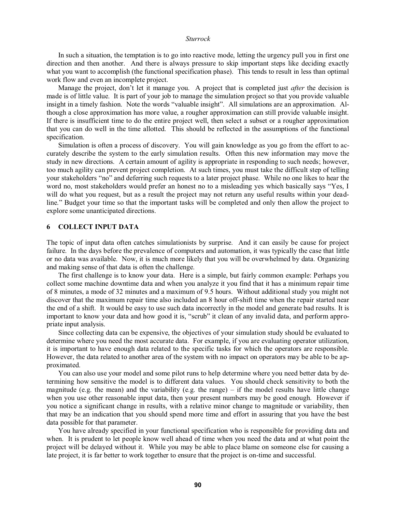In such a situation, the temptation is to go into reactive mode, letting the urgency pull you in first one direction and then another. And there is always pressure to skip important steps like deciding exactly what you want to accomplish (the functional specification phase). This tends to result in less than optimal work flow and even an incomplete project.

Manage the project, don't let it manage you. A project that is completed just *after* the decision is made is of little value. It is part of your job to manage the simulation project so that you provide valuable insight in a timely fashion. Note the words "valuable insight". All simulations are an approximation. Although a close approximation has more value, a rougher approximation can still provide valuable insight. If there is insufficient time to do the entire project well, then select a subset or a rougher approximation that you can do well in the time allotted. This should be reflected in the assumptions of the functional specification.

Simulation is often a process of discovery. You will gain knowledge as you go from the effort to accurately describe the system to the early simulation results. Often this new information may move the study in new directions. A certain amount of agility is appropriate in responding to such needs; however, too much agility can prevent project completion. At such times, you must take the difficult step of telling your stakeholders "no" and deferring such requests to a later project phase. While no one likes to hear the word no, most stakeholders would prefer an honest no to a misleading yes which basically says "Yes, I will do what you request, but as a result the project may not return any useful results within your deadline." Budget your time so that the important tasks will be completed and only then allow the project to explore some unanticipated directions.

### **6 COLLECT INPUT DATA**

The topic of input data often catches simulationists by surprise. And it can easily be cause for project failure. In the days before the prevalence of computers and automation, it was typically the case that little or no data was available. Now, it is much more likely that you will be overwhelmed by data. Organizing and making sense of that data is often the challenge.

The first challenge is to know your data. Here is a simple, but fairly common example: Perhaps you collect some machine downtime data and when you analyze it you find that it has a minimum repair time of 8 minutes, a mode of 32 minutes and a maximum of 9.5 hours. Without additional study you might not discover that the maximum repair time also included an 8 hour off-shift time when the repair started near the end of a shift. It would be easy to use such data incorrectly in the model and generate bad results. It is important to know your data and how good it is, "scrub" it clean of any invalid data, and perform appropriate input analysis.

Since collecting data can be expensive, the objectives of your simulation study should be evaluated to determine where you need the most accurate data. For example, if you are evaluating operator utilization, it is important to have enough data related to the specific tasks for which the operators are responsible. However, the data related to another area of the system with no impact on operators may be able to be approximated.

You can also use your model and some pilot runs to help determine where you need better data by determining how sensitive the model is to different data values. You should check sensitivity to both the magnitude (e.g. the mean) and the variability (e.g. the range)  $-$  if the model results have little change when you use other reasonable input data, then your present numbers may be good enough. However if you notice a significant change in results, with a relative minor change to magnitude or variability, then that may be an indication that you should spend more time and effort in assuring that you have the best data possible for that parameter.

You have already specified in your functional specification who is responsible for providing data and when. It is prudent to let people know well ahead of time when you need the data and at what point the project will be delayed without it. While you may be able to place blame on someone else for causing a late project, it is far better to work together to ensure that the project is on-time and successful.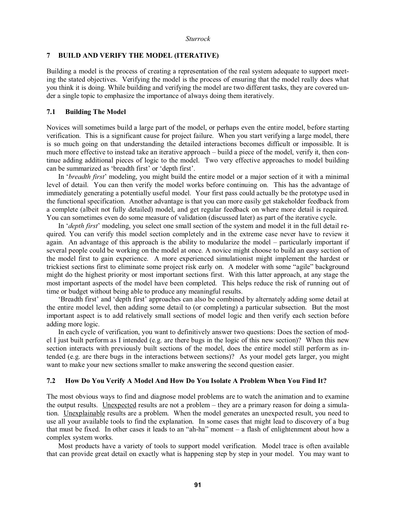### **7 BUILD AND VERIFY THE MODEL (ITERATIVE)**

Building a model is the process of creating a representation of the real system adequate to support meeting the stated objectives. Verifying the model is the process of ensuring that the model really does what you think it is doing. While building and verifying the model are two different tasks, they are covered under a single topic to emphasize the importance of always doing them iteratively.

### **7.1 Building The Model**

Novices will sometimes build a large part of the model, or perhaps even the entire model, before starting verification. This is a significant cause for project failure. When you start verifying a large model, there is so much going on that understanding the detailed interactions becomes difficult or impossible. It is much more effective to instead take an iterative approach – build a piece of the model, verify it, then continue adding additional pieces of logic to the model. Two very effective approaches to model building can be summarized as 'breadth first' or 'depth first'.

In Z*breadth first*" modeling, you might build the entire model or a major section of it with a minimal level of detail. You can then verify the model works before continuing on. This has the advantage of immediately generating a potentially useful model. Your first pass could actually be the prototype used in the functional specification. Another advantage is that you can more easily get stakeholder feedback from a complete (albeit not fully detailed) model, and get regular feedback on where more detail is required. You can sometimes even do some measure of validation (discussed later) as part of the iterative cycle.

In '*depth first*' modeling, you select one small section of the system and model it in the full detail required. You can verify this model section completely and in the extreme case never have to review it again. An advantage of this approach is the ability to modularize the model – particularly important if several people could be working on the model at once. A novice might choose to build an easy section of the model first to gain experience. A more experienced simulationist might implement the hardest or trickiest sections first to eliminate some project risk early on. A modeler with some "agile" background might do the highest priority or most important sections first. With this latter approach, at any stage the most important aspects of the model have been completed. This helps reduce the risk of running out of time or budget without being able to produce any meaningful results.

'Breadth first' and 'depth first' approaches can also be combined by alternately adding some detail at the entire model level, then adding some detail to (or completing) a particular subsection. But the most important aspect is to add relatively small sections of model logic and then verify each section before adding more logic.

In each cycle of verification, you want to definitively answer two questions: Does the section of model I just built perform as I intended (e.g. are there bugs in the logic of this new section)? When this new section interacts with previously built sections of the model, does the entire model still perform as intended (e.g. are there bugs in the interactions between sections)? As your model gets larger, you might want to make your new sections smaller to make answering the second question easier.

### **7.2 How Do You Verify A Model And How Do You Isolate A Problem When You Find It?**

The most obvious ways to find and diagnose model problems are to watch the animation and to examine the output results. Unexpected results are not a problem – they are a primary reason for doing a simulation. Unexplainable results are a problem. When the model generates an unexpected result, you need to use all your available tools to find the explanation. In some cases that might lead to discovery of a bug that must be fixed. In other cases it leads to an "ah-ha" moment  $-$  a flash of enlightenment about how a complex system works.

Most products have a variety of tools to support model verification. Model trace is often available that can provide great detail on exactly what is happening step by step in your model. You may want to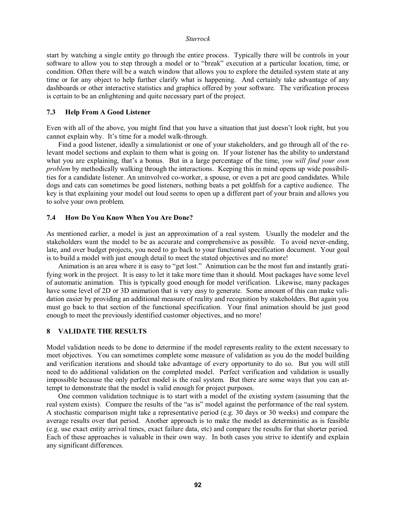start by watching a single entity go through the entire process. Typically there will be controls in your software to allow you to step through a model or to "break" execution at a particular location, time, or condition. Often there will be a watch window that allows you to explore the detailed system state at any time or for any object to help further clarify what is happening. And certainly take advantage of any dashboards or other interactive statistics and graphics offered by your software. The verification process is certain to be an enlightening and quite necessary part of the project.

#### **7.3 Help From A Good Listener**

Even with all of the above, you might find that you have a situation that just doesn't look right, but you cannot explain why. It's time for a model walk-through.

Find a good listener, ideally a simulationist or one of your stakeholders, and go through all of the relevant model sections and explain to them what is going on. If your listener has the ability to understand what you are explaining, that's a bonus. But in a large percentage of the time, *you will find your own problem* by methodically walking through the interactions. Keeping this in mind opens up wide possibilities for a candidate listener. An uninvolved co-worker, a spouse, or even a pet are good candidates. While dogs and cats can sometimes be good listeners, nothing beats a pet goldfish for a captive audience. The key is that explaining your model out loud seems to open up a different part of your brain and allows you to solve your own problem.

#### **7.4 How Do You Know When You Are Done?**

As mentioned earlier, a model is just an approximation of a real system. Usually the modeler and the stakeholders want the model to be as accurate and comprehensive as possible. To avoid never-ending, late, and over budget projects, you need to go back to your functional specification document. Your goal is to build a model with just enough detail to meet the stated objectives and no more!

Animation is an area where it is easy to "get lost." Animation can be the most fun and instantly gratifying work in the project. It is easy to let it take more time than it should. Most packages have some level of automatic animation. This is typically good enough for model verification. Likewise, many packages have some level of 2D or 3D animation that is very easy to generate. Some amount of this can make validation easier by providing an additional measure of reality and recognition by stakeholders. But again you must go back to that section of the functional specification. Your final animation should be just good enough to meet the previously identified customer objectives, and no more!

### **8 VALIDATE THE RESULTS**

Model validation needs to be done to determine if the model represents reality to the extent necessary to meet objectives. You can sometimes complete some measure of validation as you do the model building and verification iterations and should take advantage of every opportunity to do so. But you will still need to do additional validation on the completed model. Perfect verification and validation is usually impossible because the only perfect model is the real system. But there are some ways that you can attempt to demonstrate that the model is valid enough for project purposes.

One common validation technique is to start with a model of the existing system (assuming that the real system exists). Compare the results of the "as is" model against the performance of the real system. A stochastic comparison might take a representative period (e.g. 30 days or 30 weeks) and compare the average results over that period. Another approach is to make the model as deterministic as is feasible (e.g. use exact entity arrival times, exact failure data, etc) and compare the results for that shorter period. Each of these approaches is valuable in their own way. In both cases you strive to identify and explain any significant differences.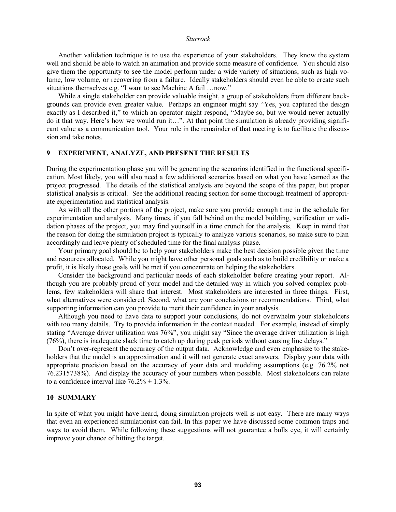Another validation technique is to use the experience of your stakeholders. They know the system well and should be able to watch an animation and provide some measure of confidence. You should also give them the opportunity to see the model perform under a wide variety of situations, such as high volume, low volume, or recovering from a failure. Ideally stakeholders should even be able to create such situations themselves e.g. "I want to see Machine A fail ... now."

While a single stakeholder can provide valuable insight, a group of stakeholders from different backgrounds can provide even greater value. Perhaps an engineer might say "Yes, you captured the design exactly as I described it," to which an operator might respond, "Maybe so, but we would never actually do it that way. Here's how we would run it...". At that point the simulation is already providing significant value as a communication tool. Your role in the remainder of that meeting is to facilitate the discussion and take notes.

### **9 EXPERIMENT, ANALYZE, AND PRESENT THE RESULTS**

During the experimentation phase you will be generating the scenarios identified in the functional specification. Most likely, you will also need a few additional scenarios based on what you have learned as the project progressed. The details of the statistical analysis are beyond the scope of this paper, but proper statistical analysis is critical. See the additional reading section for some thorough treatment of appropriate experimentation and statistical analysis.

As with all the other portions of the project, make sure you provide enough time in the schedule for experimentation and analysis. Many times, if you fall behind on the model building, verification or validation phases of the project, you may find yourself in a time crunch for the analysis. Keep in mind that the reason for doing the simulation project is typically to analyze various scenarios, so make sure to plan accordingly and leave plenty of scheduled time for the final analysis phase.

Your primary goal should be to help your stakeholders make the best decision possible given the time and resources allocated. While you might have other personal goals such as to build credibility or make a profit, it is likely those goals will be met if you concentrate on helping the stakeholders.

Consider the background and particular needs of each stakeholder before creating your report. Although you are probably proud of your model and the detailed way in which you solved complex problems, few stakeholders will share that interest. Most stakeholders are interested in three things. First, what alternatives were considered. Second, what are your conclusions or recommendations. Third, what supporting information can you provide to merit their confidence in your analysis.

Although you need to have data to support your conclusions, do not overwhelm your stakeholders with too many details. Try to provide information in the context needed. For example, instead of simply stating "Average driver utilization was 76%", you might say "Since the average driver utilization is high  $(76%)$ , there is inadequate slack time to catch up during peak periods without causing line delays."

Don't over-represent the accuracy of the output data. Acknowledge and even emphasize to the stakeholders that the model is an approximation and it will not generate exact answers. Display your data with appropriate precision based on the accuracy of your data and modeling assumptions (e.g. 76.2% not 76.2315738%). And display the accuracy of your numbers when possible. Most stakeholders can relate to a confidence interval like  $76.2\% \pm 1.3\%$ .

#### **10 SUMMARY**

In spite of what you might have heard, doing simulation projects well is not easy. There are many ways that even an experienced simulationist can fail. In this paper we have discussed some common traps and ways to avoid them. While following these suggestions will not guarantee a bulls eye, it will certainly improve your chance of hitting the target.